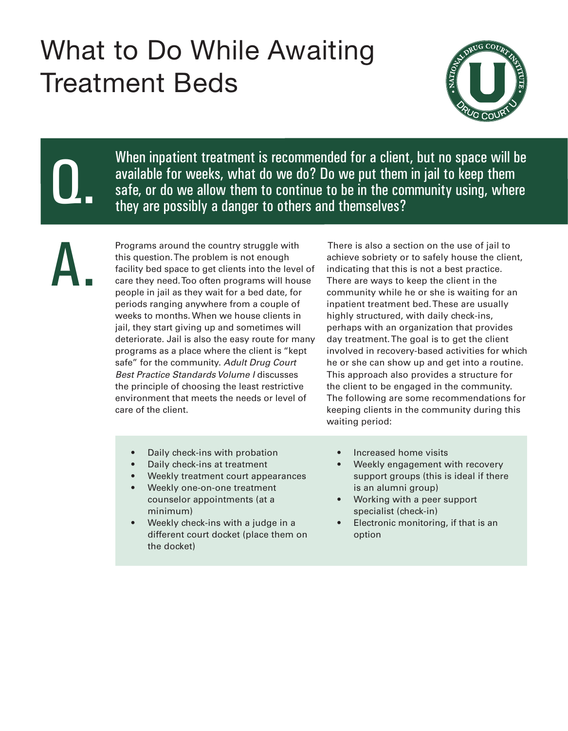## What to Do While Awaiting Treatment Beds



Q.

When inpatient treatment is recommended for a client, but no space will be available for weeks, what do we do? Do we put them in jail to keep them safe, or do we allow them to continue to be in the community using, where they are possibly a danger to others and themselves?

A.

Programs around the country struggle with this question. The problem is not enough facility bed space to get clients into the level of care they need. Too often programs will house people in jail as they wait for a bed date, for periods ranging anywhere from a couple of weeks to months. When we house clients in jail, they start giving up and sometimes will deteriorate. Jail is also the easy route for many programs as a place where the client is "kept safe" for the community. *Adult Drug Court Best Practice Standards Volume I* discusses the principle of choosing the least restrictive environment that meets the needs or level of care of the client.

 There is also a section on the use of jail to achieve sobriety or to safely house the client, indicating that this is not a best practice. There are ways to keep the client in the community while he or she is waiting for an inpatient treatment bed. These are usually highly structured, with daily check-ins, perhaps with an organization that provides day treatment. The goal is to get the client involved in recovery-based activities for which he or she can show up and get into a routine. This approach also provides a structure for the client to be engaged in the community. The following are some recommendations for keeping clients in the community during this waiting period:

- Daily check-ins with probation
- Daily check-ins at treatment
- Weekly treatment court appearances
- Weekly one-on-one treatment counselor appointments (at a minimum)
- Weekly check-ins with a judge in a different court docket (place them on the docket)
- Increased home visits
- Weekly engagement with recovery support groups (this is ideal if there is an alumni group)
- Working with a peer support specialist (check-in)
- Electronic monitoring, if that is an option